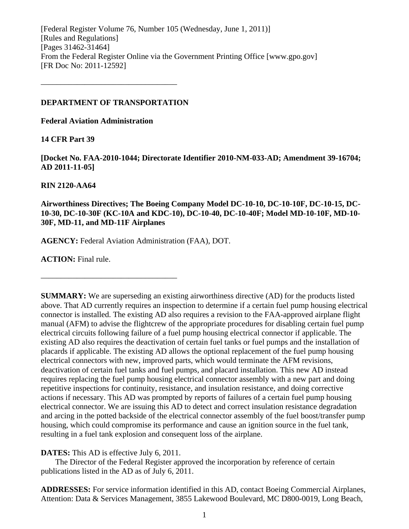[Federal Register Volume 76, Number 105 (Wednesday, June 1, 2011)] [Rules and Regulations] [Pages 31462-31464] From the Federal Register Online via the Government Printing Office [www.gpo.gov] [FR Doc No: 2011-12592]

#### **DEPARTMENT OF TRANSPORTATION**

––––––––––––––––––––––––––––––––––

**Federal Aviation Administration** 

**14 CFR Part 39** 

**[Docket No. FAA-2010-1044; Directorate Identifier 2010-NM-033-AD; Amendment 39-16704; AD 2011-11-05]** 

#### **RIN 2120-AA64**

**Airworthiness Directives; The Boeing Company Model DC-10-10, DC-10-10F, DC-10-15, DC-10-30, DC-10-30F (KC-10A and KDC-10), DC-10-40, DC-10-40F; Model MD-10-10F, MD-10- 30F, MD-11, and MD-11F Airplanes** 

**AGENCY:** Federal Aviation Administration (FAA), DOT.

––––––––––––––––––––––––––––––––––

**ACTION:** Final rule.

**SUMMARY:** We are superseding an existing airworthiness directive (AD) for the products listed above. That AD currently requires an inspection to determine if a certain fuel pump housing electrical connector is installed. The existing AD also requires a revision to the FAA-approved airplane flight manual (AFM) to advise the flightcrew of the appropriate procedures for disabling certain fuel pump electrical circuits following failure of a fuel pump housing electrical connector if applicable. The existing AD also requires the deactivation of certain fuel tanks or fuel pumps and the installation of placards if applicable. The existing AD allows the optional replacement of the fuel pump housing electrical connectors with new, improved parts, which would terminate the AFM revisions, deactivation of certain fuel tanks and fuel pumps, and placard installation. This new AD instead requires replacing the fuel pump housing electrical connector assembly with a new part and doing repetitive inspections for continuity, resistance, and insulation resistance, and doing corrective actions if necessary. This AD was prompted by reports of failures of a certain fuel pump housing electrical connector. We are issuing this AD to detect and correct insulation resistance degradation and arcing in the potted backside of the electrical connector assembly of the fuel boost/transfer pump housing, which could compromise its performance and cause an ignition source in the fuel tank, resulting in a fuel tank explosion and consequent loss of the airplane.

**DATES:** This AD is effective July 6, 2011.

 The Director of the Federal Register approved the incorporation by reference of certain publications listed in the AD as of July 6, 2011.

**ADDRESSES:** For service information identified in this AD, contact Boeing Commercial Airplanes, Attention: Data & Services Management, 3855 Lakewood Boulevard, MC D800-0019, Long Beach,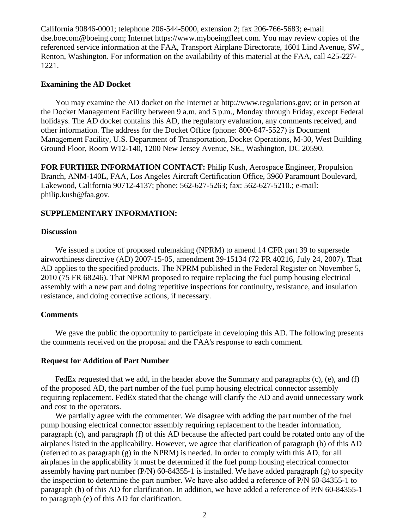California 90846-0001; telephone 206-544-5000, extension 2; fax 206-766-5683; e-mail dse.boecom@boeing.com; Internet https://www.myboeingfleet.com. You may review copies of the referenced service information at the FAA, Transport Airplane Directorate, 1601 Lind Avenue, SW., Renton, Washington. For information on the availability of this material at the FAA, call 425-227- 1221.

#### **Examining the AD Docket**

 You may examine the AD docket on the Internet at http://www.regulations.gov; or in person at the Docket Management Facility between 9 a.m. and 5 p.m., Monday through Friday, except Federal holidays. The AD docket contains this AD, the regulatory evaluation, any comments received, and other information. The address for the Docket Office (phone: 800-647-5527) is Document Management Facility, U.S. Department of Transportation, Docket Operations, M-30, West Building Ground Floor, Room W12-140, 1200 New Jersey Avenue, SE., Washington, DC 20590.

**FOR FURTHER INFORMATION CONTACT:** Philip Kush, Aerospace Engineer, Propulsion Branch, ANM-140L, FAA, Los Angeles Aircraft Certification Office, 3960 Paramount Boulevard, Lakewood, California 90712-4137; phone: 562-627-5263; fax: 562-627-5210.; e-mail: philip.kush@faa.gov.

#### **SUPPLEMENTARY INFORMATION:**

#### **Discussion**

 We issued a notice of proposed rulemaking (NPRM) to amend 14 CFR part 39 to supersede airworthiness directive (AD) 2007-15-05, amendment 39-15134 (72 FR 40216, July 24, 2007). That AD applies to the specified products. The NPRM published in the Federal Register on November 5, 2010 (75 FR 68246). That NPRM proposed to require replacing the fuel pump housing electrical assembly with a new part and doing repetitive inspections for continuity, resistance, and insulation resistance, and doing corrective actions, if necessary.

#### **Comments**

We gave the public the opportunity to participate in developing this AD. The following presents the comments received on the proposal and the FAA's response to each comment.

#### **Request for Addition of Part Number**

 FedEx requested that we add, in the header above the Summary and paragraphs (c), (e), and (f) of the proposed AD, the part number of the fuel pump housing electrical connector assembly requiring replacement. FedEx stated that the change will clarify the AD and avoid unnecessary work and cost to the operators.

 We partially agree with the commenter. We disagree with adding the part number of the fuel pump housing electrical connector assembly requiring replacement to the header information, paragraph (c), and paragraph (f) of this AD because the affected part could be rotated onto any of the airplanes listed in the applicability. However, we agree that clarification of paragraph (h) of this AD (referred to as paragraph (g) in the NPRM) is needed. In order to comply with this AD, for all airplanes in the applicability it must be determined if the fuel pump housing electrical connector assembly having part number (P/N)  $60-84355-1$  is installed. We have added paragraph (g) to specify the inspection to determine the part number. We have also added a reference of P/N 60-84355-1 to paragraph (h) of this AD for clarification. In addition, we have added a reference of P/N 60-84355-1 to paragraph (e) of this AD for clarification.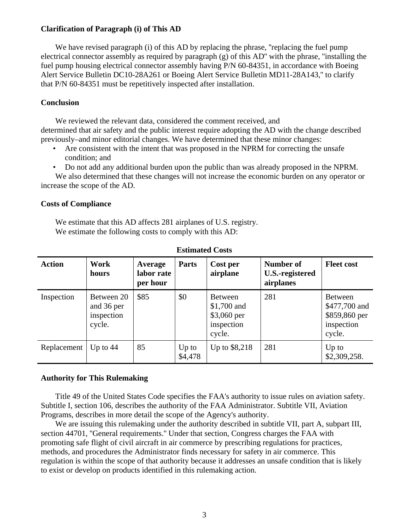### **Clarification of Paragraph (i) of This AD**

We have revised paragraph (i) of this AD by replacing the phrase, "replacing the fuel pump electrical connector assembly as required by paragraph (g) of this AD'' with the phrase, ''installing the fuel pump housing electrical connector assembly having P/N 60-84351, in accordance with Boeing Alert Service Bulletin DC10-28A261 or Boeing Alert Service Bulletin MD11-28A143,'' to clarify that P/N 60-84351 must be repetitively inspected after installation.

### **Conclusion**

 We reviewed the relevant data, considered the comment received, and determined that air safety and the public interest require adopting the AD with the change described previously–and minor editorial changes. We have determined that these minor changes:

- Are consistent with the intent that was proposed in the NPRM for correcting the unsafe condition; and
- Do not add any additional burden upon the public than was already proposed in the NPRM.

 We also determined that these changes will not increase the economic burden on any operator or increase the scope of the AD.

### **Costs of Compliance**

 We estimate that this AD affects 281 airplanes of U.S. registry. We estimate the following costs to comply with this AD:

| <b>Action</b> | Work<br>hours                                    | Average<br>labor rate<br>per hour | <b>Parts</b>       | Cost per<br>airplane                                          | Number of<br><b>U.S.-registered</b><br>airplanes | <b>Fleet cost</b>                                                        |
|---------------|--------------------------------------------------|-----------------------------------|--------------------|---------------------------------------------------------------|--------------------------------------------------|--------------------------------------------------------------------------|
| Inspection    | Between 20<br>and 36 per<br>inspection<br>cycle. | \$85                              | \$0                | Between<br>\$1,700 and<br>\$3,060 per<br>inspection<br>cycle. | 281                                              | <b>Between</b><br>\$477,700 and<br>\$859,860 per<br>inspection<br>cycle. |
| Replacement   | Up to $44$                                       | 85                                | $Up$ to<br>\$4,478 | Up to \$8,218                                                 | 281                                              | $Up$ to<br>\$2,309,258.                                                  |

### **Estimated Costs**

### **Authority for This Rulemaking**

 Title 49 of the United States Code specifies the FAA's authority to issue rules on aviation safety. Subtitle I, section 106, describes the authority of the FAA Administrator. Subtitle VII, Aviation Programs, describes in more detail the scope of the Agency's authority.

We are issuing this rulemaking under the authority described in subtitle VII, part A, subpart III, section 44701, "General requirements." Under that section, Congress charges the FAA with promoting safe flight of civil aircraft in air commerce by prescribing regulations for practices, methods, and procedures the Administrator finds necessary for safety in air commerce. This regulation is within the scope of that authority because it addresses an unsafe condition that is likely to exist or develop on products identified in this rulemaking action.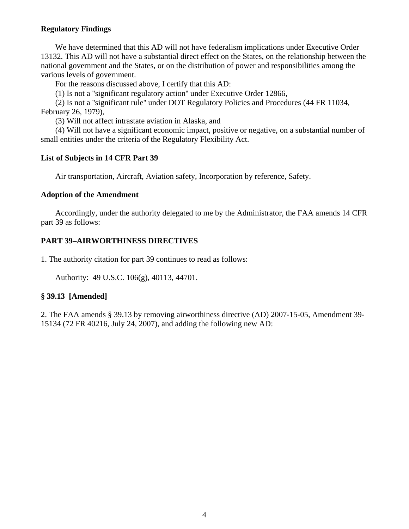## **Regulatory Findings**

We have determined that this AD will not have federalism implications under Executive Order 13132. This AD will not have a substantial direct effect on the States, on the relationship between the national government and the States, or on the distribution of power and responsibilities among the various levels of government.

For the reasons discussed above, I certify that this AD:

(1) Is not a ''significant regulatory action'' under Executive Order 12866,

 (2) Is not a ''significant rule'' under DOT Regulatory Policies and Procedures (44 FR 11034, February 26, 1979),

(3) Will not affect intrastate aviation in Alaska, and

 (4) Will not have a significant economic impact, positive or negative, on a substantial number of small entities under the criteria of the Regulatory Flexibility Act.

### **List of Subjects in 14 CFR Part 39**

Air transportation, Aircraft, Aviation safety, Incorporation by reference, Safety.

### **Adoption of the Amendment**

 Accordingly, under the authority delegated to me by the Administrator, the FAA amends 14 CFR part 39 as follows:

### **PART 39–AIRWORTHINESS DIRECTIVES**

1. The authority citation for part 39 continues to read as follows:

Authority: 49 U.S.C. 106(g), 40113, 44701.

### **§ 39.13 [Amended]**

2. The FAA amends § 39.13 by removing airworthiness directive (AD) 2007-15-05, Amendment 39- 15134 (72 FR 40216, July 24, 2007), and adding the following new AD: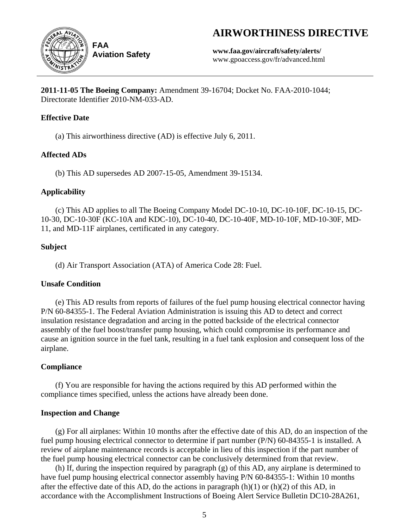# **AIRWORTHINESS DIRECTIVE**



**Aviation Safety**

**www.faa.gov/aircraft/safety/alerts/**  www.gpoaccess.gov/fr/advanced.html

**2011-11-05 The Boeing Company:** Amendment 39-16704; Docket No. FAA-2010-1044; Directorate Identifier 2010-NM-033-AD.

# **Effective Date**

(a) This airworthiness directive (AD) is effective July 6, 2011.

# **Affected ADs**

(b) This AD supersedes AD 2007-15-05, Amendment 39-15134.

# **Applicability**

 (c) This AD applies to all The Boeing Company Model DC-10-10, DC-10-10F, DC-10-15, DC-10-30, DC-10-30F (KC-10A and KDC-10), DC-10-40, DC-10-40F, MD-10-10F, MD-10-30F, MD-11, and MD-11F airplanes, certificated in any category.

# **Subject**

(d) Air Transport Association (ATA) of America Code 28: Fuel.

# **Unsafe Condition**

 (e) This AD results from reports of failures of the fuel pump housing electrical connector having P/N 60-84355-1. The Federal Aviation Administration is issuing this AD to detect and correct insulation resistance degradation and arcing in the potted backside of the electrical connector assembly of the fuel boost/transfer pump housing, which could compromise its performance and cause an ignition source in the fuel tank, resulting in a fuel tank explosion and consequent loss of the airplane.

# **Compliance**

 (f) You are responsible for having the actions required by this AD performed within the compliance times specified, unless the actions have already been done.

# **Inspection and Change**

 (g) For all airplanes: Within 10 months after the effective date of this AD, do an inspection of the fuel pump housing electrical connector to determine if part number (P/N) 60-84355-1 is installed. A review of airplane maintenance records is acceptable in lieu of this inspection if the part number of the fuel pump housing electrical connector can be conclusively determined from that review.

 (h) If, during the inspection required by paragraph (g) of this AD, any airplane is determined to have fuel pump housing electrical connector assembly having P/N 60-84355-1: Within 10 months after the effective date of this AD, do the actions in paragraph  $(h)(1)$  or  $(h)(2)$  of this AD, in accordance with the Accomplishment Instructions of Boeing Alert Service Bulletin DC10-28A261,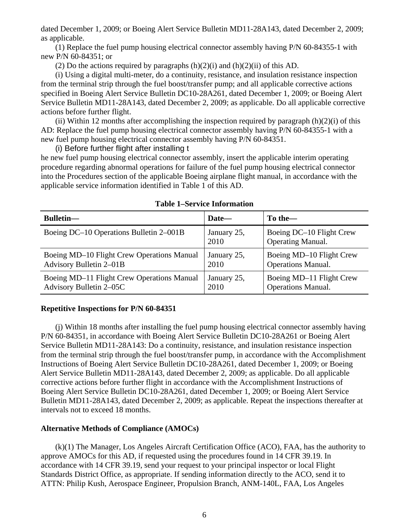dated December 1, 2009; or Boeing Alert Service Bulletin MD11-28A143, dated December 2, 2009; as applicable.

 (1) Replace the fuel pump housing electrical connector assembly having P/N 60-84355-1 with new P/N 60-84351; or

(2) Do the actions required by paragraphs  $(h)(2)(i)$  and  $(h)(2)(ii)$  of this AD.

 (i) Using a digital multi-meter, do a continuity, resistance, and insulation resistance inspection from the terminal strip through the fuel boost/transfer pump; and all applicable corrective actions specified in Boeing Alert Service Bulletin DC10-28A261, dated December 1, 2009; or Boeing Alert Service Bulletin MD11-28A143, dated December 2, 2009; as applicable. Do all applicable corrective actions before further flight.

(ii) Within 12 months after accomplishing the inspection required by paragraph  $(h)(2)(i)$  of this AD: Replace the fuel pump housing electrical connector assembly having P/N 60-84355-1 with a new fuel pump housing electrical connector assembly having P/N 60-84351.

(i) Before further flight after installing t

he new fuel pump housing electrical connector assembly, insert the applicable interim operating procedure regarding abnormal operations for failure of the fuel pump housing electrical connector into the Procedures section of the applicable Boeing airplane flight manual, in accordance with the applicable service information identified in Table 1 of this AD.

| <b>Bulletin—</b>                           | Date—               | To the—                                              |
|--------------------------------------------|---------------------|------------------------------------------------------|
| Boeing DC-10 Operations Bulletin 2-001B    | January 25,<br>2010 | Boeing DC-10 Flight Crew<br><b>Operating Manual.</b> |
| Boeing MD-10 Flight Crew Operations Manual | January 25,         | Boeing MD-10 Flight Crew                             |
| Advisory Bulletin 2-01B                    | 2010                | <b>Operations Manual.</b>                            |
| Boeing MD-11 Flight Crew Operations Manual | January 25,         | Boeing MD-11 Flight Crew                             |
| Advisory Bulletin 2-05C                    | 2010                | <b>Operations Manual.</b>                            |

**Table 1–Service Information** 

### **Repetitive Inspections for P/N 60-84351**

 (j) Within 18 months after installing the fuel pump housing electrical connector assembly having P/N 60-84351, in accordance with Boeing Alert Service Bulletin DC10-28A261 or Boeing Alert Service Bulletin MD11-28A143: Do a continuity, resistance, and insulation resistance inspection from the terminal strip through the fuel boost/transfer pump, in accordance with the Accomplishment Instructions of Boeing Alert Service Bulletin DC10-28A261, dated December 1, 2009; or Boeing Alert Service Bulletin MD11-28A143, dated December 2, 2009; as applicable. Do all applicable corrective actions before further flight in accordance with the Accomplishment Instructions of Boeing Alert Service Bulletin DC10-28A261, dated December 1, 2009; or Boeing Alert Service Bulletin MD11-28A143, dated December 2, 2009; as applicable. Repeat the inspections thereafter at intervals not to exceed 18 months.

### **Alternative Methods of Compliance (AMOCs)**

 (k)(1) The Manager, Los Angeles Aircraft Certification Office (ACO), FAA, has the authority to approve AMOCs for this AD, if requested using the procedures found in 14 CFR 39.19. In accordance with 14 CFR 39.19, send your request to your principal inspector or local Flight Standards District Office, as appropriate. If sending information directly to the ACO, send it to ATTN: Philip Kush, Aerospace Engineer, Propulsion Branch, ANM-140L, FAA, Los Angeles